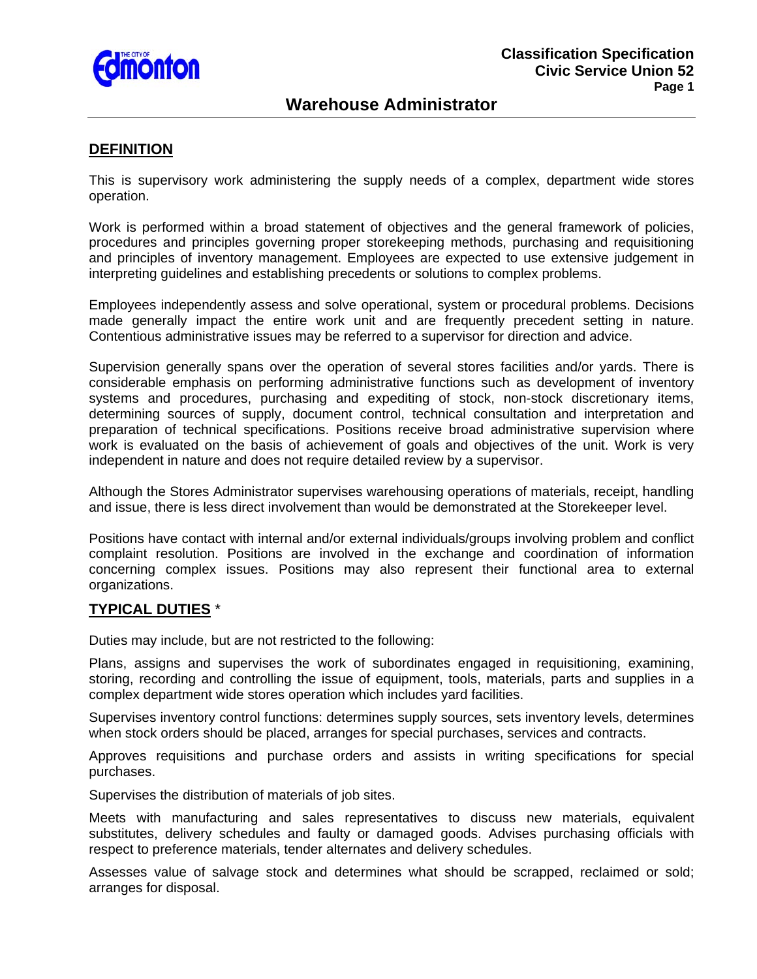

# **Warehouse Administrator**

### **DEFINITION**

This is supervisory work administering the supply needs of a complex, department wide stores operation.

Work is performed within a broad statement of objectives and the general framework of policies, procedures and principles governing proper storekeeping methods, purchasing and requisitioning and principles of inventory management. Employees are expected to use extensive judgement in interpreting guidelines and establishing precedents or solutions to complex problems.

Employees independently assess and solve operational, system or procedural problems. Decisions made generally impact the entire work unit and are frequently precedent setting in nature. Contentious administrative issues may be referred to a supervisor for direction and advice.

Supervision generally spans over the operation of several stores facilities and/or yards. There is considerable emphasis on performing administrative functions such as development of inventory systems and procedures, purchasing and expediting of stock, non-stock discretionary items, determining sources of supply, document control, technical consultation and interpretation and preparation of technical specifications. Positions receive broad administrative supervision where work is evaluated on the basis of achievement of goals and objectives of the unit. Work is very independent in nature and does not require detailed review by a supervisor.

Although the Stores Administrator supervises warehousing operations of materials, receipt, handling and issue, there is less direct involvement than would be demonstrated at the Storekeeper level.

Positions have contact with internal and/or external individuals/groups involving problem and conflict complaint resolution. Positions are involved in the exchange and coordination of information concerning complex issues. Positions may also represent their functional area to external organizations.

### **TYPICAL DUTIES** \*

Duties may include, but are not restricted to the following:

Plans, assigns and supervises the work of subordinates engaged in requisitioning, examining, storing, recording and controlling the issue of equipment, tools, materials, parts and supplies in a complex department wide stores operation which includes yard facilities.

Supervises inventory control functions: determines supply sources, sets inventory levels, determines when stock orders should be placed, arranges for special purchases, services and contracts.

Approves requisitions and purchase orders and assists in writing specifications for special purchases.

Supervises the distribution of materials of job sites.

Meets with manufacturing and sales representatives to discuss new materials, equivalent substitutes, delivery schedules and faulty or damaged goods. Advises purchasing officials with respect to preference materials, tender alternates and delivery schedules.

Assesses value of salvage stock and determines what should be scrapped, reclaimed or sold; arranges for disposal.